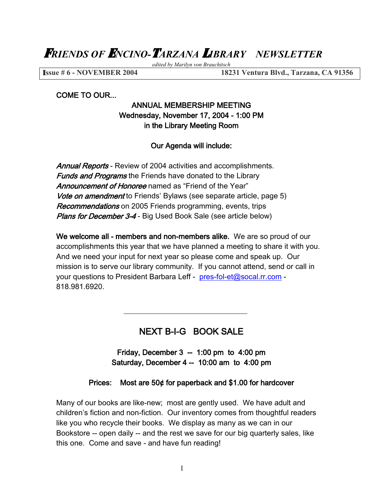F*RIENDS OF* E*NCINO-*T*ARZANA* L*IBRARY NEWSLETTER* 

*edited by Marilyn von Brauchitsch*

I**ssue # 6 - NOVEMBER 2004 18231 Ventura Blvd., Tarzana, CA 91356**

COME TO OUR...

# ANNUAL MEMBERSHIP MEETING Wednesday, November 17, 2004 - 1:00 PM in the Library Meeting Room

#### Our Agenda will include:

Annual Reports - Review of 2004 activities and accomplishments. **Funds and Programs** the Friends have donated to the Library Announcement of Honoree named as "Friend of the Year" Vote on amendment to Friends' Bylaws (see separate article, page 5) Recommendations on 2005 Friends programming, events, trips Plans for December 3-4 - Big Used Book Sale (see article below)

We welcome all - members and non-members alike. We are so proud of our accomplishments this year that we have planned a meeting to share it with you. And we need your input for next year so please come and speak up. Our mission is to serve our library community. If you cannot attend, send or call in your questions to President Barbara Leff - [pres-fol-et@socal.rr.com](mailto:pres-fol-et@socal.rr.com) - 818.981.6920.

# NEXT B-I-G BOOK SALE

Friday, December  $3 - 1:00$  pm to  $4:00$  pm Saturday, December 4 -- 10:00 am to 4:00 pm

#### Prices: Most are 50¢ for paperback and \$1.00 for hardcover

Many of our books are like-new; most are gently used. We have adult and children's fiction and non-fiction. Our inventory comes from thoughtful readers like you who recycle their books. We display as many as we can in our Bookstore -- open daily -- and the rest we save for our big quarterly sales, like this one. Come and save - and have fun reading!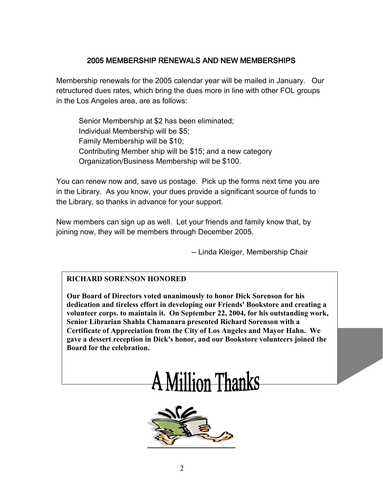# 2005 MEMBERSHIP RENEWALS AND NEW MEMBERSHIPS

Membership renewals for the 2005 calendar year will be mailed in January. Our retructured dues rates, which bring the dues more in line with other FOL groups in the Los Angeles area, are as follows:

Senior Membership at \$2 has been eliminated; Individual Membership will be \$5; Family Membership will be \$10; Contributing Member ship will be \$15; and a new category Organization/Business Membership will be \$100.

You can renew now and, save us postage. Pick up the forms next time you are in the Library. As you know, your dues provide a significant source of funds to the Library, so thanks in advance for your support.

New members can sign up as well. Let your friends and family know that, by joining now, they will be members through December 2005.

-- Linda Kleiger, Membership Chair

## **RICHARD SORENSON HONORED**

**Our Board of Directors voted unanimously to honor Dick Sorenson for his dedication and tireless effort in developing our Friends' Bookstore and creating a volunteer corps. to maintain it. On September 22, 2004, for his outstanding work, Senior Librarian Shahla Chamanara presented Richard Sorenson with a Certificate of Appreciation from the City of Los Angeles and Mayor Hahn. We gave a dessert reception in Dick's honor, and our Bookstore volunteers joined the Board for the celebration.**



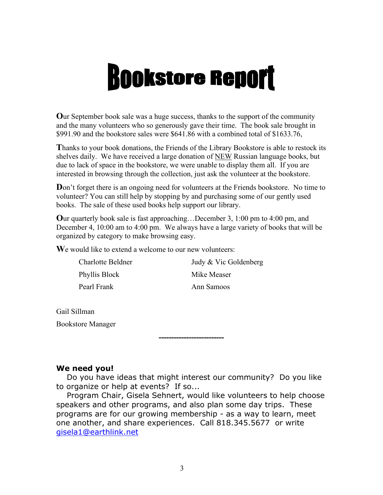# **Bookstore Report**

**O**ur September book sale was a huge success, thanks to the support of the community and the many volunteers who so generously gave their time. The book sale brought in \$991.90 and the bookstore sales were \$641.86 with a combined total of \$1633.76,

**T**hanks to your book donations, the Friends of the Library Bookstore is able to restock its shelves daily. We have received a large donation of NEW Russian language books, but due to lack of space in the bookstore, we were unable to display them all. If you are interested in browsing through the collection, just ask the volunteer at the bookstore.

**D**on't forget there is an ongoing need for volunteers at the Friends bookstore. No time to volunteer? You can still help by stopping by and purchasing some of our gently used books. The sale of these used books help support our library.

**O**ur quarterly book sale is fast approaching…December 3, 1:00 pm to 4:00 pm, and December 4, 10:00 am to 4:00 pm. We always have a large variety of books that will be organized by category to make browsing easy.

**W**e would like to extend a welcome to our new volunteers:

| Charlotte Beldner | Judy & Vic Goldenberg |
|-------------------|-----------------------|
| Phyllis Block     | Mike Measer           |
| Pearl Frank       | Ann Samoos            |

Gail Sillman Bookstore Manager

#### **We need you!**

 Do you have ideas that might interest our community? Do you like to organize or help at events? If so...

--------------------------

 Program Chair, Gisela Sehnert, would like volunteers to help choose speakers and other programs, and also plan some day trips. These programs are for our growing membership - as a way to learn, meet one another, and share experiences. Call 818.345.5677 or write gisela1@earthlink.net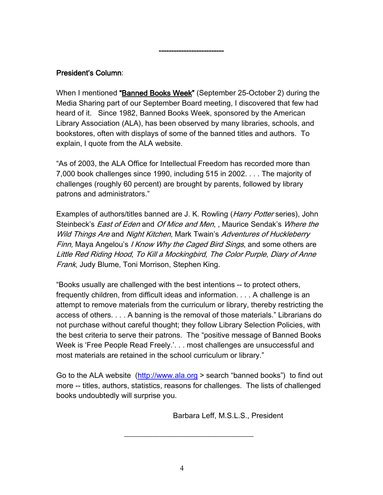## President's Column:

When I mentioned "Banned Books Week" (September 25-October 2) during the Media Sharing part of our September Board meeting, I discovered that few had heard of it. Since 1982, Banned Books Week, sponsored by the American Library Association (ALA), has been observed by many libraries, schools, and bookstores, often with displays of some of the banned titles and authors. To explain, I quote from the ALA website.

--------------------------

"As of 2003, the ALA Office for Intellectual Freedom has recorded more than 7,000 book challenges since 1990, including 515 in 2002. . . . The majority of challenges (roughly 60 percent) are brought by parents, followed by library patrons and administrators."

Examples of authors/titles banned are J. K. Rowling (*Harry Potter* series), John Steinbeck's *East of Eden* and *Of Mice and Men*, , Maurice Sendak's *Where the* Wild Things Are and Night Kitchen, Mark Twain's Adventures of Huckleberry Finn, Maya Angelou's I Know Why the Caged Bird Sings, and some others are Little Red Riding Hood, To Kill a Mockingbird, The Color Purple, Diary of Anne Frank, Judy Blume, Toni Morrison, Stephen King.

"Books usually are challenged with the best intentions -- to protect others, frequently children, from difficult ideas and information. . . . A challenge is an attempt to remove materials from the curriculum or library, thereby restricting the access of others. . . . A banning is the removal of those materials." Librarians do not purchase without careful thought; they follow Library Selection Policies, with the best criteria to serve their patrons. The "positive message of Banned Books Week is 'Free People Read Freely.'. . . most challenges are unsuccessful and most materials are retained in the school curriculum or library."

Go to the ALA website [\(http://www.ala.org](http://www.ala.org/) > search "banned books") to find out more -- titles, authors, statistics, reasons for challenges. The lists of challenged books undoubtedly will surprise you.

Barbara Leff, M.S.L.S., President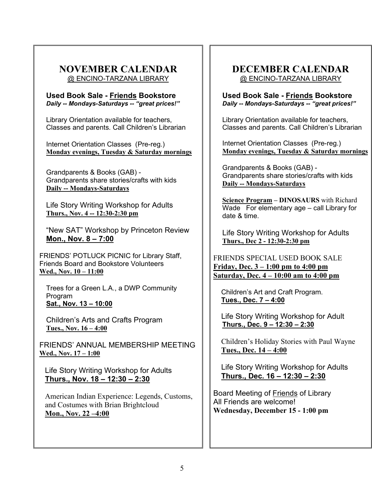#### **NOVEMBER CALENDAR** @ ENCINO-TARZANA LIBRARY

**Used Book Sale - Friends Bookstore**  *Daily -- Mondays-Saturdays -- "great prices!"*

Library Orientation available for teachers, Classes and parents. Call Children's Librarian

Internet Orientation Classes (Pre-reg.) **Monday evenings, Tuesday & Saturday mornings**

Grandparents & Books (GAB) - Grandparents share stories/crafts with kids **Daily -- Mondays-Saturdays** 

Life Story Writing Workshop for Adults **Thurs., Nov. 4 -- 12:30-2:30 pm**

"New SAT" Workshop by Princeton Review **Mon., Nov. 8 – 7:00**

FRIENDS' POTLUCK PICNIC for Library Staff, Friends Board and Bookstore Volunteers **Wed., Nov. 10 – 11:00**

Trees for a Green L.A., a DWP Community Program **Sat., Nov. 13 – 10:00**

Children's Arts and Crafts Program **Tues., Nov. 16 – 4:00**

FRIENDS' ANNUAL MEMBERSHIP MEETING **Wed., Nov. 17 – 1:00**

Life Story Writing Workshop for Adults **Thurs., Nov. 18 – 12:30 – 2:30**

American Indian Experience: Legends, Customs, and Costumes with Brian Brightcloud **Mon., Nov. 22 –4:00**

# **DECEMBER CALENDAR** @ ENCINO-TARZANA LIBRARY

**Used Book Sale - Friends Bookstore**  *Daily -- Mondays-Saturdays -- "great prices!"*

Library Orientation available for teachers, Classes and parents. Call Children's Librarian

Internet Orientation Classes (Pre-reg.) **Monday evenings, Tuesday & Saturday mornings**

Grandparents & Books (GAB) - Grandparents share stories/crafts with kids **Daily -- Mondays-Saturdays**

**Science Program – DINOSAURS** with Richard Wade For elementary age – call Library for date & time.

Life Story Writing Workshop for Adults **Thurs., Dec 2 - 12:30-2:30 pm**

FRIENDS SPECIAL USED BOOK SALE **Friday, Dec. 3 – 1:00 pm to 4:00 pm Saturday, Dec. 4 – 10:00 am to 4:00 pm**

Children's Art and Craft Program. **Tues., Dec. 7 – 4:00**

Life Story Writing Workshop for Adult **Thurs., Dec. 9 – 12:30 – 2:30**

Children's Holiday Stories with Paul Wayne **Tues., Dec. 14 – 4:00**

Life Story Writing Workshop for Adults **Thurs., Dec. 16 – 12:30 – 2:30**

Board Meeting of Friends of Library All Friends are welcome! **Wednesday, December 15 - 1:00 pm**